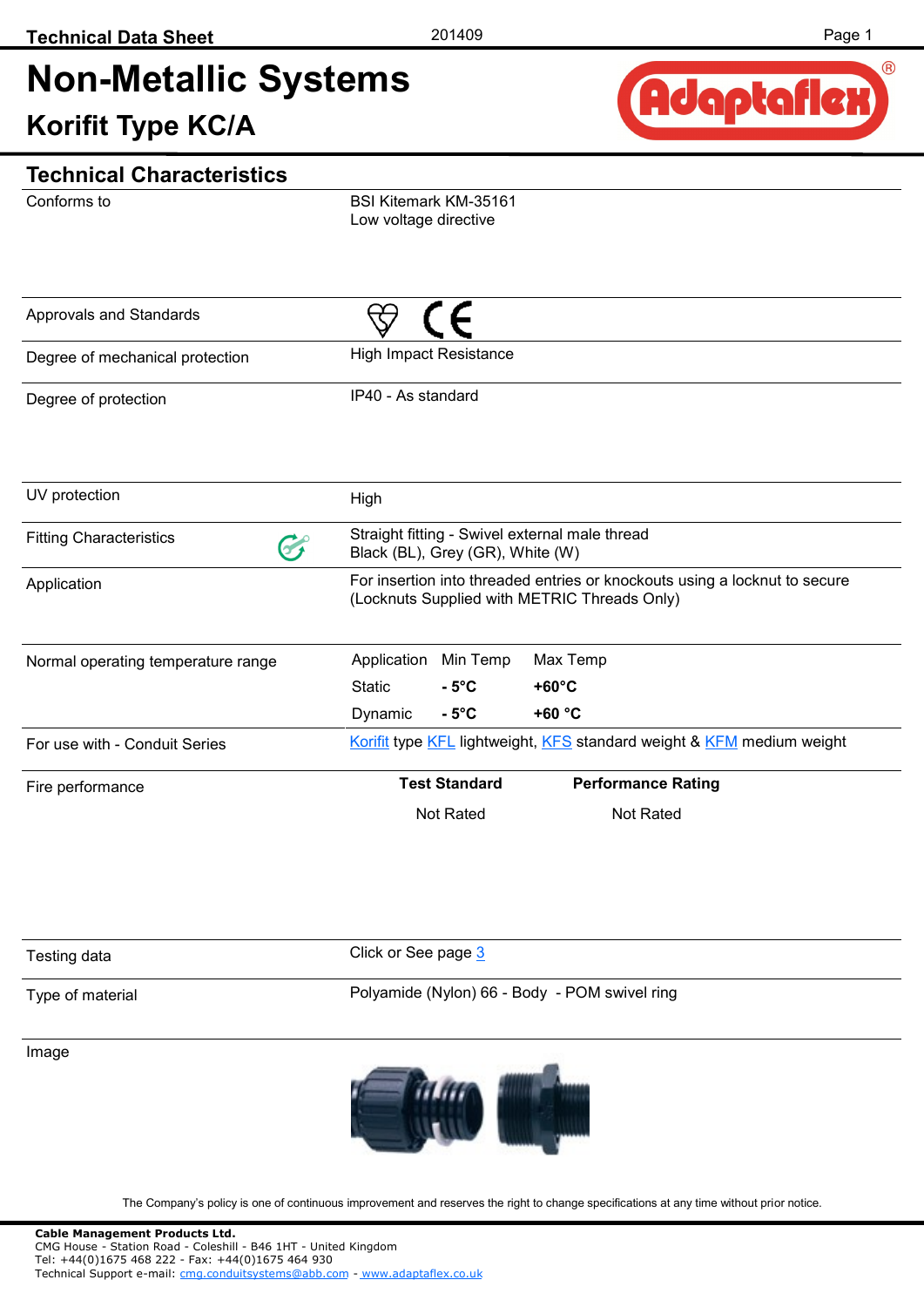# **Non-Metallic Systems Korifit Type KC/A**



## Conforms to **Technical Characteristics** BSI Kitemark KM-35161 Low voltage directive IP40 - As standard High Impact Resistance Degree of protection Degree of mechanical protection Approvals and Standards Normal operating temperature range For use with - Conduit Series Fire performance UV protection and High High Fitting Characteristics Straight fitting - Swivel external male thread<br>Black (BL). Grey (GR), White (W) Black (BL), Grey (GR), White (W) Application **Application** For insertion into threaded entries or knockouts using a locknut to secure (Locknuts Supplied with METRIC Threads Only) Application Min Temp Max Temp Static **- 5°C +60°C**  Dynamic **- 5°C +60 °C Test Standard Performance Rating** Not Rated Not Rated [Korifit](http://www.adaptaflex.com/types.asp?ID=20) type [KFL](http://www.adaptaflex.com/products.asp?ID=20) lightweight, [KFS](http://www.adaptaflex.com/products.asp?ID=21) standard weight & [KFM](http://www.adaptaflex.com/products.asp?ID=22) medium weight

| Testing data     | Click or See page 3                           |
|------------------|-----------------------------------------------|
| Type of material | Polyamide (Nylon) 66 - Body - POM swivel ring |

Image



The Company's policy is one of continuous improvement and reserves the right to change specifications at any time without prior notice.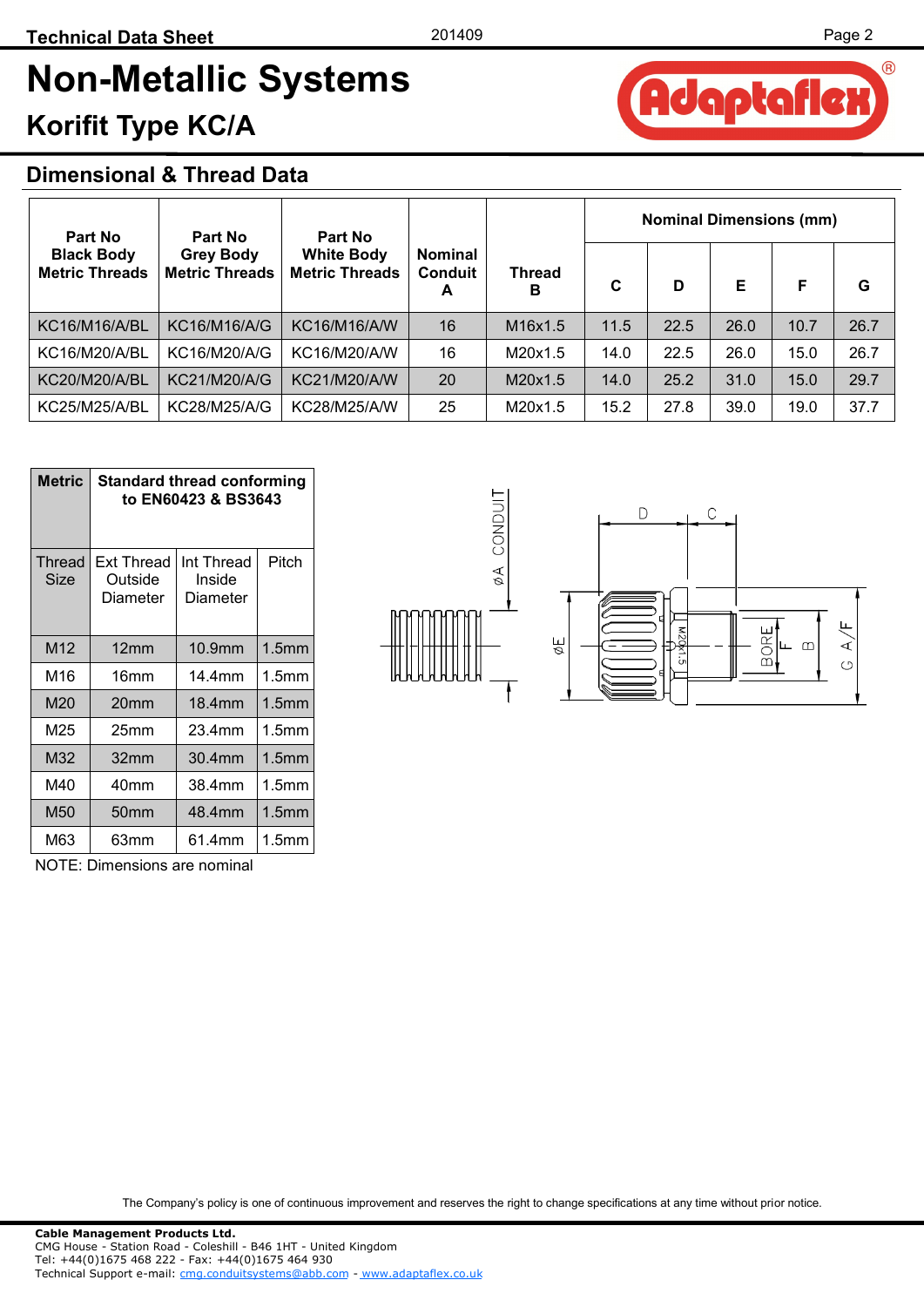daptafle

 $\circledR$ 

# **Non-Metallic Systems Korifit Type KC/A**

## **Dimensional & Thread Data**

| <b>Part No</b>                             | Part No                                   | <b>Part No</b>                             |                                       |                    | <b>Nominal Dimensions (mm)</b> |      |      |      |      |  |  |  |
|--------------------------------------------|-------------------------------------------|--------------------------------------------|---------------------------------------|--------------------|--------------------------------|------|------|------|------|--|--|--|
| <b>Black Body</b><br><b>Metric Threads</b> | <b>Grey Body</b><br><b>Metric Threads</b> | <b>White Body</b><br><b>Metric Threads</b> | <b>Nominal</b><br><b>Conduit</b><br>A | <b>Thread</b><br>в |                                | D    | Е    | F    | G    |  |  |  |
| KC16/M16/A/BL                              | KC16/M16/A/G                              | KC16/M16/A/W                               | 16                                    | M16x1.5            | 11.5                           | 22.5 | 26.0 | 10.7 | 26.7 |  |  |  |
| <b>KC16/M20/A/BL</b>                       | KC16/M20/A/G                              | KC16/M20/A/W                               | 16                                    | M20x1.5            | 14.0                           | 22.5 | 26.0 | 15.0 | 26.7 |  |  |  |
| <b>KC20/M20/A/BL</b>                       | KC21/M20/A/G                              | <b>KC21/M20/A/W</b>                        | 20                                    | M20x1.5            | 14.0                           | 25.2 | 31.0 | 15.0 | 29.7 |  |  |  |
| <b>KC25/M25/A/BL</b>                       | KC28/M25/A/G                              | <b>KC28/M25/A/W</b>                        | 25                                    | M20x1.5            | 15.2                           | 27.8 | 39.0 | 19.0 | 37.7 |  |  |  |

| <b>Metric</b>         | <b>Standard thread conforming</b><br>to EN60423 & BS3643 |                                  |                   |  |  |  |  |  |
|-----------------------|----------------------------------------------------------|----------------------------------|-------------------|--|--|--|--|--|
| <b>Thread</b><br>Size | <b>Ext Thread</b><br>Outside<br>Diameter                 | Int Thread<br>Inside<br>Diameter | Pitch             |  |  |  |  |  |
| M <sub>12</sub>       | 12mm                                                     | 10.9mm                           | 1.5 <sub>mm</sub> |  |  |  |  |  |
| M16                   | 16 <sub>mm</sub>                                         | 14 4mm                           | 1.5 <sub>mm</sub> |  |  |  |  |  |
| M20                   | 20mm                                                     | 18.4mm                           | 1.5 <sub>mm</sub> |  |  |  |  |  |
| M25                   | 25mm                                                     | 23.4mm                           | 1.5 <sub>mm</sub> |  |  |  |  |  |
| M32                   | 32 <sub>mm</sub>                                         | $30.4$ mm                        | 1.5 <sub>mm</sub> |  |  |  |  |  |
| M40                   | 40mm                                                     | 38.4mm                           | 1.5mm             |  |  |  |  |  |
| M50                   | 50 <sub>mm</sub>                                         | 48.4mm                           | 1.5 <sub>mm</sub> |  |  |  |  |  |
| M63                   | 63mm                                                     | 61.4mm                           | 1.5mm             |  |  |  |  |  |

NOTE: Dimensions are nominal



A

The Company's policy is one of continuous improvement and reserves the right to change specifications at any time without prior notice.